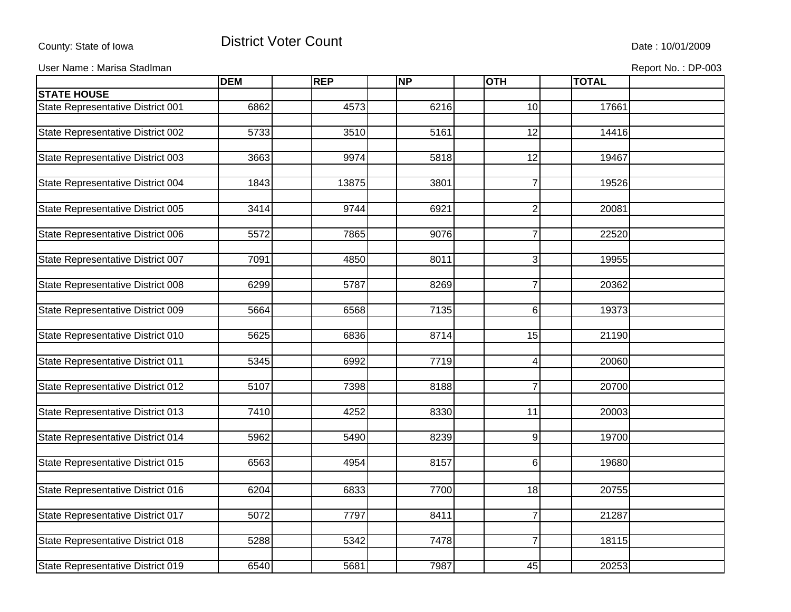## County: State of Iowa **District Voter Count** Description of the United State : 10/01/2009

User Name : Marisa Stadlman **Report No. : DP-003** Contract Contract Contract Contract Contract Contract Contract Contract Contract Contract Contract Contract Contract Contract Contract Contract Contract Contract Contract C

|                                   | <b>DEM</b> | <b>REP</b> | <b>NP</b> | <b>OTH</b>       | <b>TOTAL</b> |  |
|-----------------------------------|------------|------------|-----------|------------------|--------------|--|
| <b>STATE HOUSE</b>                |            |            |           |                  |              |  |
| State Representative District 001 | 6862       | 4573       | 6216      | 10               | 17661        |  |
|                                   |            |            |           |                  |              |  |
| State Representative District 002 | 5733       | 3510       | 5161      | 12               | 14416        |  |
|                                   |            |            |           |                  |              |  |
| State Representative District 003 | 3663       | 9974       | 5818      | 12               | 19467        |  |
|                                   |            |            |           |                  |              |  |
| State Representative District 004 | 1843       | 13875      | 3801      | $\overline{7}$   | 19526        |  |
|                                   |            |            |           |                  |              |  |
| State Representative District 005 | 3414       | 9744       | 6921      | $\mathbf{2}$     | 20081        |  |
|                                   |            |            |           |                  |              |  |
| State Representative District 006 | 5572       | 7865       | 9076      | $\overline{7}$   | 22520        |  |
|                                   |            |            |           |                  |              |  |
| State Representative District 007 | 7091       | 4850       | 8011      | $\overline{3}$   | 19955        |  |
|                                   |            |            |           |                  |              |  |
| State Representative District 008 | 6299       | 5787       | 8269      | $\overline{7}$   | 20362        |  |
|                                   |            |            |           |                  |              |  |
| State Representative District 009 | 5664       | 6568       | 7135      | 6 <sup>1</sup>   | 19373        |  |
|                                   |            |            |           |                  |              |  |
| State Representative District 010 | 5625       | 6836       | 8714      | 15               | 21190        |  |
|                                   |            |            |           |                  |              |  |
| State Representative District 011 | 5345       | 6992       | 7719      | $\overline{4}$   | 20060        |  |
|                                   |            |            |           |                  |              |  |
| State Representative District 012 | 5107       | 7398       | 8188      | $\overline{7}$   | 20700        |  |
|                                   |            |            |           |                  |              |  |
| State Representative District 013 | 7410       | 4252       | 8330      | 11               | 20003        |  |
|                                   |            |            |           |                  |              |  |
| State Representative District 014 | 5962       | 5490       | 8239      | $\overline{9}$   | 19700        |  |
| State Representative District 015 | 6563       | 4954       | 8157      | $6 \overline{6}$ | 19680        |  |
|                                   |            |            |           |                  |              |  |
|                                   |            |            |           |                  |              |  |
| State Representative District 016 | 6204       | 6833       | 7700      | 18               | 20755        |  |
|                                   |            |            |           |                  |              |  |
| State Representative District 017 | 5072       | 7797       | 8411      | $\overline{7}$   | 21287        |  |
|                                   | 5288       |            | 7478      | $\overline{7}$   |              |  |
| State Representative District 018 |            | 5342       |           |                  | 18115        |  |
|                                   | 6540       |            |           |                  |              |  |
| State Representative District 019 |            | 5681       | 7987      | 45               | 20253        |  |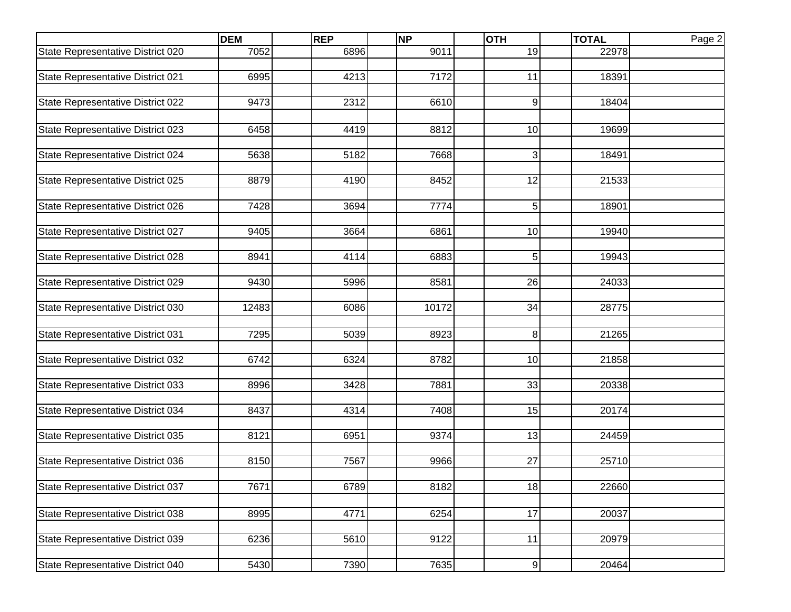|                                   | <b>DEM</b> | <b>REP</b> | <b>NP</b> | <b>OTH</b>       | <b>TOTAL</b> | Page 2 |
|-----------------------------------|------------|------------|-----------|------------------|--------------|--------|
| State Representative District 020 | 7052       | 6896       | 9011      | 19               | 22978        |        |
|                                   |            |            |           |                  |              |        |
| State Representative District 021 | 6995       | 4213       | 7172      | 11               | 18391        |        |
| State Representative District 022 | 9473       | 2312       | 6610      | 9                | 18404        |        |
|                                   |            |            |           |                  |              |        |
| State Representative District 023 | 6458       | 4419       | 8812      | 10               | 19699        |        |
| State Representative District 024 | 5638       | 5182       | 7668      | 3                | 18491        |        |
|                                   |            |            |           |                  |              |        |
| State Representative District 025 | 8879       | 4190       | 8452      | 12               | 21533        |        |
| State Representative District 026 | 7428       | 3694       | 7774      | 5                | 18901        |        |
| State Representative District 027 | 9405       | 3664       | 6861      | 10               | 19940        |        |
|                                   |            |            |           |                  |              |        |
| State Representative District 028 | 8941       | 4114       | 6883      | 5                | 19943        |        |
|                                   |            |            |           |                  |              |        |
| State Representative District 029 | 9430       | 5996       | 8581      | 26               | 24033        |        |
| State Representative District 030 | 12483      | 6086       | 10172     | 34               | 28775        |        |
| State Representative District 031 | 7295       | 5039       | 8923      | 8                | 21265        |        |
|                                   |            |            |           |                  |              |        |
| State Representative District 032 | 6742       | 6324       | 8782      | 10               | 21858        |        |
| State Representative District 033 | 8996       | 3428       | 7881      | 33               | 20338        |        |
|                                   | 8437       |            | 7408      | 15               | 20174        |        |
| State Representative District 034 |            | 4314       |           |                  |              |        |
| State Representative District 035 | 8121       | 6951       | 9374      | 13               | 24459        |        |
|                                   |            |            |           |                  |              |        |
| State Representative District 036 | 8150       | 7567       | 9966      | 27               | 25710        |        |
| State Representative District 037 | 7671       | 6789       | 8182      | 18               | 22660        |        |
|                                   |            |            |           |                  |              |        |
| State Representative District 038 | 8995       | 4771       | 6254      | 17               | 20037        |        |
| State Representative District 039 | 6236       | 5610       | 9122      | 11               | 20979        |        |
|                                   |            |            |           |                  |              |        |
| State Representative District 040 | 5430       | 7390       | 7635      | $\boldsymbol{9}$ | 20464        |        |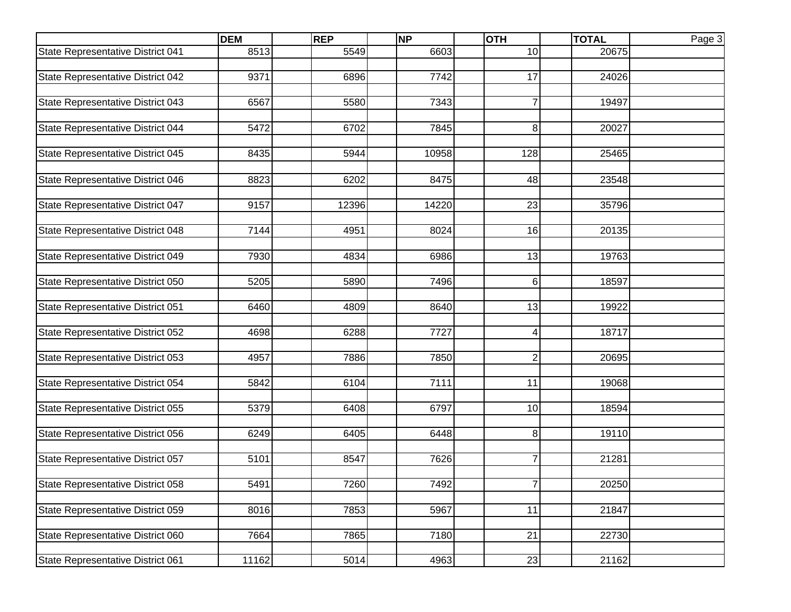|                                   | <b>DEM</b> | <b>REP</b> | <b>NP</b> | <b>OTH</b>     | <b>TOTAL</b> | Page 3 |
|-----------------------------------|------------|------------|-----------|----------------|--------------|--------|
| State Representative District 041 | 8513       | 5549       | 6603      | 10             | 20675        |        |
|                                   |            |            |           |                |              |        |
| State Representative District 042 | 9371       | 6896       | 7742      | 17             | 24026        |        |
| State Representative District 043 | 6567       | 5580       | 7343      | $\overline{7}$ | 19497        |        |
|                                   |            |            |           |                |              |        |
| State Representative District 044 | 5472       | 6702       | 7845      | 8              | 20027        |        |
|                                   |            |            |           |                |              |        |
| State Representative District 045 | 8435       | 5944       | 10958     | 128            | 25465        |        |
| State Representative District 046 | 8823       | 6202       | 8475      | 48             | 23548        |        |
|                                   |            |            |           |                |              |        |
| State Representative District 047 | 9157       | 12396      | 14220     | 23             | 35796        |        |
|                                   |            |            |           |                |              |        |
| State Representative District 048 | 7144       | 4951       | 8024      | 16             | 20135        |        |
| State Representative District 049 | 7930       | 4834       | 6986      | 13             | 19763        |        |
|                                   |            |            |           |                |              |        |
| State Representative District 050 | 5205       | 5890       | 7496      | 6              | 18597        |        |
|                                   |            |            |           |                |              |        |
| State Representative District 051 | 6460       | 4809       | 8640      | 13             | 19922        |        |
| State Representative District 052 | 4698       | 6288       | 7727      | 4              | 18717        |        |
|                                   |            |            |           |                |              |        |
| State Representative District 053 | 4957       | 7886       | 7850      | $\overline{2}$ | 20695        |        |
|                                   |            |            |           |                |              |        |
| State Representative District 054 | 5842       | 6104       | 7111      | 11             | 19068        |        |
| State Representative District 055 | 5379       | 6408       | 6797      | 10             | 18594        |        |
|                                   |            |            |           |                |              |        |
| State Representative District 056 | 6249       | 6405       | 6448      | 8              | 19110        |        |
|                                   |            |            |           |                |              |        |
| State Representative District 057 | 5101       | 8547       | 7626      | $\overline{7}$ | 21281        |        |
| State Representative District 058 | 5491       | 7260       | 7492      | 7              | 20250        |        |
|                                   |            |            |           |                |              |        |
| State Representative District 059 | 8016       | 7853       | 5967      | 11             | 21847        |        |
|                                   |            |            |           |                |              |        |
| State Representative District 060 | 7664       | 7865       | 7180      | 21             | 22730        |        |
| State Representative District 061 | 11162      | 5014       | 4963      | 23             | 21162        |        |
|                                   |            |            |           |                |              |        |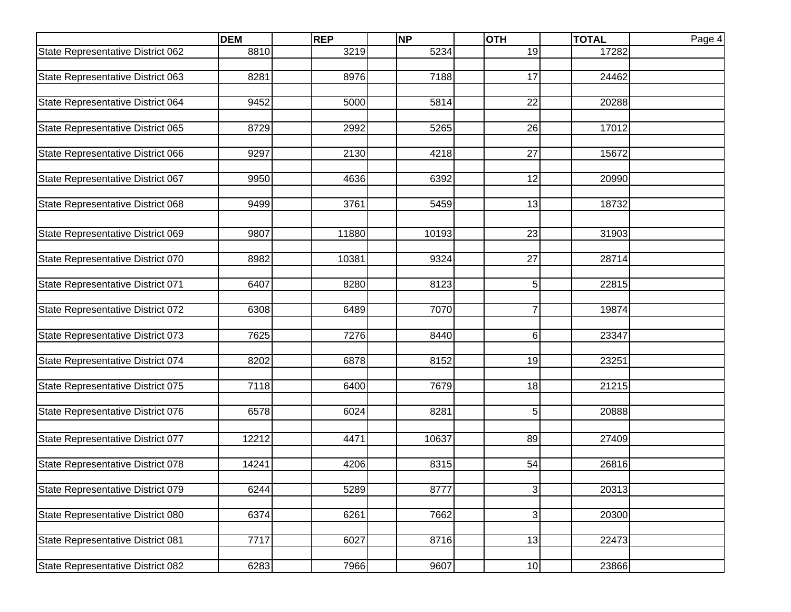|                                   | <b>DEM</b> | <b>REP</b> | <b>NP</b> | <b>OTH</b>                | <b>TOTAL</b> | Page 4 |
|-----------------------------------|------------|------------|-----------|---------------------------|--------------|--------|
| State Representative District 062 | 8810       | 3219       | 5234      | 19                        | 17282        |        |
|                                   |            |            |           |                           |              |        |
| State Representative District 063 | 8281       | 8976       | 7188      | 17                        | 24462        |        |
| State Representative District 064 | 9452       | 5000       | 5814      | 22                        | 20288        |        |
|                                   |            |            |           |                           |              |        |
| State Representative District 065 | 8729       | 2992       | 5265      | 26                        | 17012        |        |
|                                   |            |            |           |                           |              |        |
| State Representative District 066 | 9297       | 2130       | 4218      | 27                        | 15672        |        |
| State Representative District 067 | 9950       | 4636       | 6392      | 12                        | 20990        |        |
|                                   |            |            |           |                           |              |        |
| State Representative District 068 | 9499       | 3761       | 5459      | 13                        | 18732        |        |
|                                   |            |            |           |                           |              |        |
| State Representative District 069 | 9807       | 11880      | 10193     | 23                        | 31903        |        |
| State Representative District 070 | 8982       | 10381      | 9324      | 27                        | 28714        |        |
|                                   |            |            |           |                           |              |        |
| State Representative District 071 | 6407       | 8280       | 8123      | 5                         | 22815        |        |
|                                   |            |            |           |                           |              |        |
| State Representative District 072 | 6308       | 6489       | 7070      | $\overline{7}$            | 19874        |        |
| State Representative District 073 | 7625       | 7276       | 8440      | $\,6$                     | 23347        |        |
|                                   |            |            |           |                           |              |        |
| State Representative District 074 | 8202       | 6878       | 8152      | 19                        | 23251        |        |
|                                   |            | 6400       |           | 18                        |              |        |
| State Representative District 075 | 7118       |            | 7679      |                           | 21215        |        |
| State Representative District 076 | 6578       | 6024       | 8281      | 5                         | 20888        |        |
|                                   |            |            |           |                           |              |        |
| State Representative District 077 | 12212      | 4471       | 10637     | 89                        | 27409        |        |
|                                   |            |            |           |                           |              |        |
| State Representative District 078 | 14241      | 4206       | 8315      | 54                        | 26816        |        |
| State Representative District 079 | 6244       | 5289       | 8777      | $\mathbf{3}$              | 20313        |        |
|                                   |            |            |           |                           |              |        |
| State Representative District 080 | 6374       | 6261       | 7662      | $\ensuremath{\mathsf{3}}$ | 20300        |        |
|                                   | 7717       |            |           |                           |              |        |
| State Representative District 081 |            | 6027       | 8716      | 13                        | 22473        |        |
| State Representative District 082 | 6283       | 7966       | 9607      | 10                        | 23866        |        |